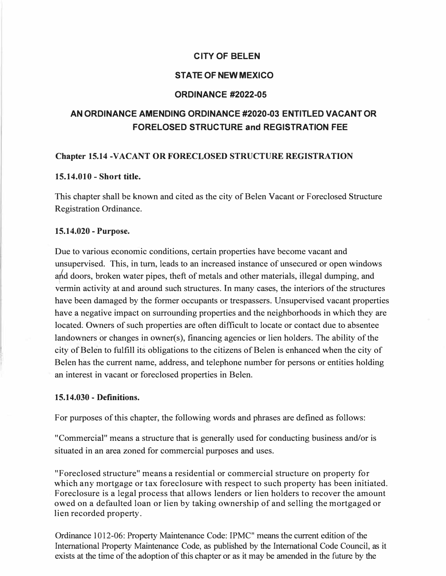## **CITY OF BELEN**

## **STATE OF NEW MEXICO**

#### **ORDINANCE #2022-05**

# **AN ORDINANCE AMENDING ORDINANCE #2020-03 ENTITLED VACANT OR FORELOSED STRUCTURE and REGISTRATION FEE**

#### **Chapter 15.14 -VACANT OR FORECLOSED STRUCTURE REGISTRATION**

#### **15.14.010 - Short title.**

This chapter shall be known and cited as the city of Belen Vacant or Foreclosed Structure Registration Ordinance.

#### **15.14.020 - Purpose.**

Due to various economic conditions, certain properties have become vacant and unsupervised. This, in turn, leads to an increased instance of unsecured or open windows and doors, broken water pipes, theft of metals and other materials, illegal dumping, and vermin activity at and around such structures. In many cases, the interiors of the structures have been damaged by the former occupants or trespassers. Unsupervised vacant properties have a negative impact on surrounding properties and the neighborhoods in which they are located: Owners of such properties are often difficult to locate or contact due to absentee landowners or changes in owner(s), financing agencies or lien holders. The ability of the city of Belen to fulfill its obligations to the citizens of Belen is enhanced when the city of Belen has the current name, address, and telephone number for persons or entities holding an interest in vacant or foreclosed properties in Belen.

#### **15.14.030 - Definitions.**

For purposes of this chapter, the following words and phrases are defined as follows:

"Commercial" means a structure that is generally used for conducting business and/or is situated in an area zoned for commercial purposes and uses.

"Foreclosed structure" means a residential or commercial structure on property for which any mortgage or tax foreclosure with respect to such property has been initiated. Foreclosure is a legal process that allows lenders or lien holders to recover the amount owed on a defaulted loan or lien by taking ownership of and selling the mortgaged or lien recorded property.

Ordinance 1012-06: Property Maintenance Code: IPMC" means the current edition of the International Property Maintenance Code, as published by the International Code Council, as it exists at the time of the adoption of this chapter or as it may be amended in the future by the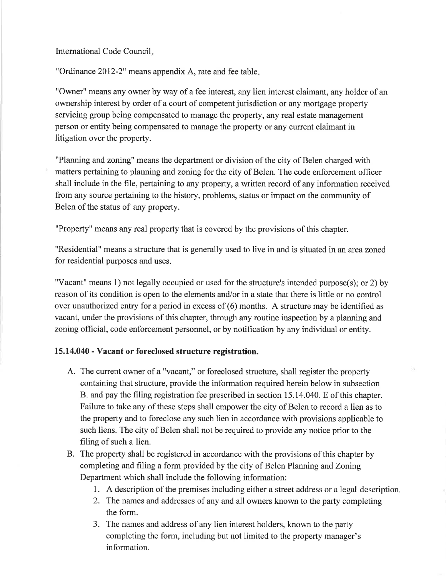International Code Council.

"Ordinance 2012-2" means appendix A, rate and fee table.

"Owner" means any owner by way of a fee interest, any lien interest claimant, any holder of an ownership interest by order of a court of competent jurisdiction or any mortgage property servicing group being compensated to manage the property, any real estate management person or entity being compensated to manage the property or any current claimant in litigation over the property.

"Planning and zoning" means the department or division of the city of Belen charged with matters pertaining to planning and zoning for the city of Belen. The code enforcement officer shall include in the file, pertaining to any property, a written record of any information received from any source pertaining to the history, problems, status or impact on the community of Belen of the status of any property.

"Property" means any real property that is covered by the provisions of this chapter.

"Residential" means a structure that is generally used to live in and is situated in an area zoned for residential purposes and uses.

"Vacant" means 1) not legally occupied or used for the structure's intended purpose(s); or 2) by reason of its condition is open to the elements and/or in a state that there is little or no control over unauthorized entry for a period in excess of (6) months. A structure may be identified as vacant, under the provisions of this chapter, through any routine inspection by a planning and zoning official, code enforcement personnel, or by notification by any individual or entity.

#### 15.14.040 - Vacant or foreclosed structure registration.

- A. The current owner of a "vacant," or foreclosed structure, shall register the property containing that structure, provide the information required herein below in subsection B. and pay the filing registration fee prescribed in section 15.14.040. E of this chapter. Failure to take any of these steps shall empower the city of Belen to record a lien as to the property and to foreclose any such lien in accordance with provisions applicable to such liens. The city of Belen shall not be required to provide any notice prior to the filing of such a lien.
- B. The property shall be registered in accordance with the provisions of this chapter by completing and filing a form provided by the city of Belen Planning and Zoning Department which shall include the following information:
	- 1. A description of the premises including either a street address or a legal description.
	- 2. The names and addresses of any and all owners known to the party completing the form.
	- 3. The names and address of any lien interest holders, known to the party completing the form, including but not limited to the property manager's information.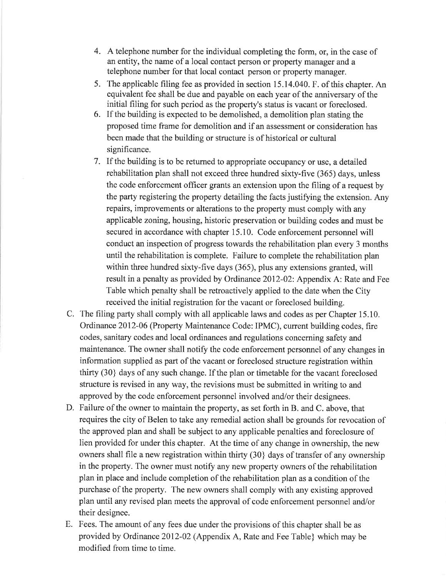- 4. A telephone number for the individual completing the form, or, in the case of an entity, the name of a local contact person or property manager and a telephone number for that local contact person or property manager.
- 5. The applicable filing fee as provided in section 15.14.040. F. of this chapter. An equivalent fee shall be due and payable on each year of the anniversary of the initial filing for such period as the property's status is vacant or foreclosed.
- 6. If the building is expected to be demolished, a demolition plan stating the proposed time frame for demolition and if an assessment or consideration has been made that the building or structure is of historical or cultural significance.
- 7. If the building is to be returned to appropriate occupancy or use, a detailed rehabilitation plan shall not exceed three hundred sixty-five (365) days, unless the code enforcement officer grants an extension upon the filing of a request by the party registering the property detailing the facts justifying the extension. Any repairs, improvements or alterations to the property must comply with any applicable zoning, housing, historic preservation or building codes and must be secured in accordance with chapter 15.10. Code enforcement personnel will conduct an inspection of progress towards the rehabilitation plan every 3 months until the rehabilitation is complete. Failure to complete the rehabilitation plan within three hundred sixty-five days (365), plus any extensions granted, will result in a penalty as provided by Ordinance 2012-02: Appendix A: Rate and Fee Table which penalty shall be retroactively applied to the date when the City received the initial registration for the vacant or foreclosed building.
- C. The filing party shall comply with all applicable laws and codes as per Chapter 15.10. Ordinance 2012-06 (Property Maintenance Code: IPMC), current building codes, fire codes, sanitary codes and local ordinances and regulations concerning safety and maintenance. The owner shall notify the code enforcement personnel of any changes in information supplied as part of the vacant or foreclosed structure registration within thirty (30) days of any such change. If the plan or timetable for the vacant foreclosed structure is revised in any way, the revisions must be submitted in writing to and approved by the code enforcement personnel involved and/or their designees.
- D. Failure of the owner to maintain the property, as set forth in B. and C. above, that requires the city of Belen to take any remedial action shall be grounds for revocation of the approved plan and shall be subject to any applicable penalties and foreclosure of lien provided for under this chapter. At the time of any change in ownership, the new owners shall file a new registration within thirty (30) days of transfer of any ownership in the property. The owner must notify any new property owners of the rehabilitation plan in place and include completion of the rehabilitation plan as a condition of the purchase of the property. The new owners shall comply with any existing approved plan until any revised plan meets the approval of code enforcement personnel and/or their designee.
- E. Fees. The amount of any fees due under the provisions of this chapter shall be as provided by Ordinance 2012-02 (Appendix A, Rate and Fee Table) which may be modified from time to time.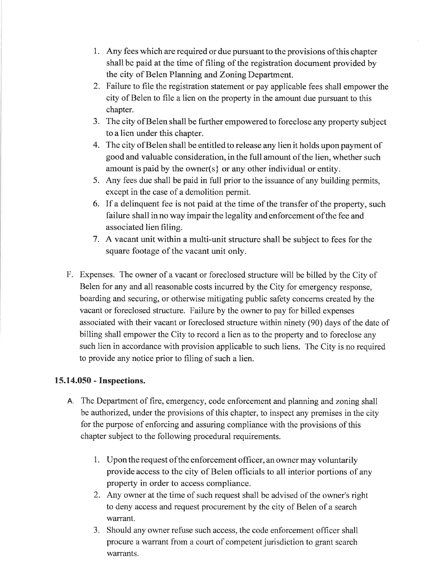- 1. Any fees which are required or due pursuant to the provisions of this chapter shall be paid at the time of filing of the registration document provided by the city of Belen Planning and Zoning Department.
- 2. Failure to file the registration statement or pay applicable fees shall empower the city of Belen to file a lien on the property in the amount due pursuant to this chapter.
- 3. The city of Belen shall be further empowered to foreclose any property subject to a lien under this chapter.
- 4. The city of Belen shall be entitled to release any lien it holds upon payment of good and valuable consideration, in the full amount of the lien, whether such amount is paid by the owner(s) or any other individual or entity.
- 5. Any fees due shall be paid in full prior to the issuance of any building permits, except in the case of a demolition permit.
- 6. If a delinquent fee is not paid at the time of the transfer of the property, such failure shall in no way impair the legality and enforcement of the fee and associated lien filing.
- 7. A vacant unit within a multi-unit structure shall be subject to fees for the square footage of the vacant unit only.
- F. Expenses. The owner of a vacant or foreclosed structure will be billed by the City of Belen for any and all reasonable costs incurred by the City for emergency response, boarding and securing, or otherwise mitigating public safety concerns created by the vacant or foreclosed structure. Failure by the owner to pay for billed expenses associated with their vacant or foreclosed structure within ninety (90) days of the date of billing shall empower the City to record a lien as to the property and to foreclose any such lien in accordance with provision applicable to such liens. The City is no required to provide any notice prior to filing of such a lien.

## 15.14.050 - Inspections.

- A. The Department of fire, emergency, code enforcement and planning and zoning shall be authorized, under the provisions of this chapter, to inspect any premises in the city for the purpose of enforcing and assuring compliance with the provisions of this chapter subject to the following procedural requirements.
	- 1. Upon the request of the enforcement officer, an owner may voluntarily provide access to the city of Belen officials to all interior portions of any property in order to access compliance.
	- 2. Any owner at the time of such request shall be advised of the owner's right to deny access and request procurement by the city of Belen of a search warrant.
	- 3. Should any owner refuse such access, the code enforcement officer shall procure a warrant from a court of competent jurisdiction to grant search warrants.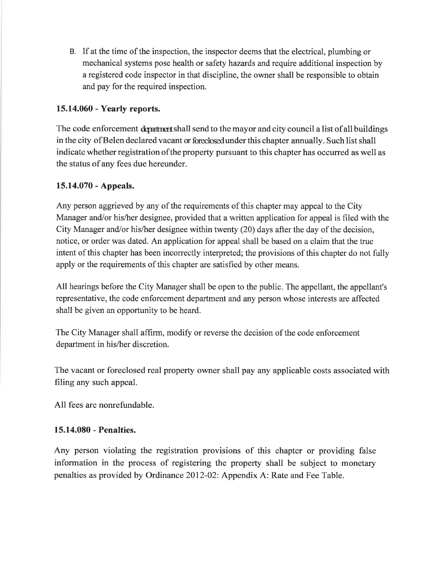B. If at the time of the inspection, the inspector deems that the electrical, plumbing or mechanical systems pose health or safety hazards and require additional inspection by a registered code inspector in that discipline, the owner shall be responsible to obtain and pay for the required inspection.

## 15.14.060 - Yearly reports.

The code enforcement department shall send to the mayor and city council a list of all buildings in the city of Belen declared vacant or foreclosed under this chapter annually. Such list shall indicate whether registration of the property pursuant to this chapter has occurred as well as the status of any fees due hereunder.

## 15.14.070 - Appeals.

Any person aggrieved by any of the requirements of this chapter may appeal to the City Manager and/or his/her designee, provided that a written application for appeal is filed with the City Manager and/or his/her designee within twenty (20) days after the day of the decision, notice, or order was dated. An application for appeal shall be based on a claim that the true intent of this chapter has been incorrectly interpreted; the provisions of this chapter do not fully apply or the requirements of this chapter are satisfied by other means.

All hearings before the City Manager shall be open to the public. The appellant, the appellant's representative, the code enforcement department and any person whose interests are affected shall be given an opportunity to be heard.

The City Manager shall affirm, modify or reverse the decision of the code enforcement department in his/her discretion.

The vacant or foreclosed real property owner shall pay any applicable costs associated with filing any such appeal.

All fees are nonrefundable.

#### 15.14.080 - Penalties.

Any person violating the registration provisions of this chapter or providing false information in the process of registering the property shall be subject to monetary penalties as provided by Ordinance 2012-02: Appendix A: Rate and Fee Table.